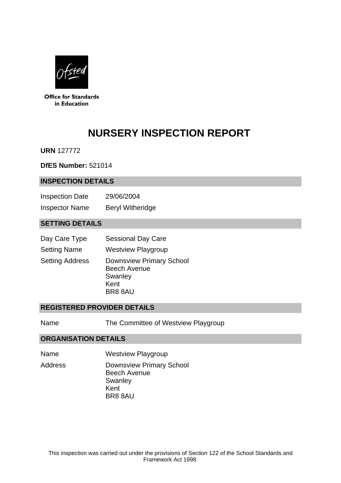

**Office for Standards** in Education

# **NURSERY INSPECTION REPORT**

**URN** 127772

**DfES Number:** 521014

## **INSPECTION DETAILS**

| <b>Inspection Date</b> | 29/06/2004              |
|------------------------|-------------------------|
| <b>Inspector Name</b>  | <b>Beryl Witheridge</b> |

## **SETTING DETAILS**

| Day Care Type          | <b>Sessional Day Care</b>                                                           |
|------------------------|-------------------------------------------------------------------------------------|
| <b>Setting Name</b>    | <b>Westview Playgroup</b>                                                           |
| <b>Setting Address</b> | <b>Downsview Primary School</b><br><b>Beech Avenue</b><br>Swanley<br>Kent<br>BR88AU |

## **REGISTERED PROVIDER DETAILS**

Name The Committee of Westview Playgroup

## **ORGANISATION DETAILS**

Name Westview Playgroup

Address Downsview Primary School Beech Avenue **Swanley** Kent BR8 8AU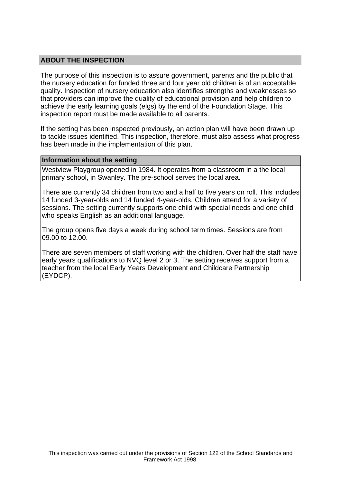## **ABOUT THE INSPECTION**

The purpose of this inspection is to assure government, parents and the public that the nursery education for funded three and four year old children is of an acceptable quality. Inspection of nursery education also identifies strengths and weaknesses so that providers can improve the quality of educational provision and help children to achieve the early learning goals (elgs) by the end of the Foundation Stage. This inspection report must be made available to all parents.

If the setting has been inspected previously, an action plan will have been drawn up to tackle issues identified. This inspection, therefore, must also assess what progress has been made in the implementation of this plan.

#### **Information about the setting**

Westview Playgroup opened in 1984. It operates from a classroom in a the local primary school, in Swanley. The pre-school serves the local area.

There are currently 34 children from two and a half to five years on roll. This includes 14 funded 3-year-olds and 14 funded 4-year-olds. Children attend for a variety of sessions. The setting currently supports one child with special needs and one child who speaks English as an additional language.

The group opens five days a week during school term times. Sessions are from 09.00 to 12.00.

There are seven members of staff working with the children. Over half the staff have early years qualifications to NVQ level 2 or 3. The setting receives support from a teacher from the local Early Years Development and Childcare Partnership (EYDCP).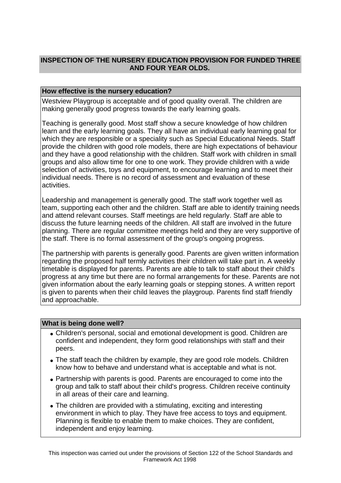# **INSPECTION OF THE NURSERY EDUCATION PROVISION FOR FUNDED THREE AND FOUR YEAR OLDS.**

## **How effective is the nursery education?**

Westview Playgroup is acceptable and of good quality overall. The children are making generally good progress towards the early learning goals.

Teaching is generally good. Most staff show a secure knowledge of how children learn and the early learning goals. They all have an individual early learning goal for which they are responsible or a speciality such as Special Educational Needs. Staff provide the children with good role models, there are high expectations of behaviour and they have a good relationship with the children. Staff work with children in small groups and also allow time for one to one work. They provide children with a wide selection of activities, toys and equipment, to encourage learning and to meet their individual needs. There is no record of assessment and evaluation of these activities.

Leadership and management is generally good. The staff work together well as team, supporting each other and the children. Staff are able to identify training needs and attend relevant courses. Staff meetings are held regularly. Staff are able to discuss the future learning needs of the children. All staff are involved in the future planning. There are regular committee meetings held and they are very supportive of the staff. There is no formal assessment of the group's ongoing progress.

The partnership with parents is generally good. Parents are given written information regarding the proposed half termly activities their children will take part in. A weekly timetable is displayed for parents. Parents are able to talk to staff about their child's progress at any time but there are no formal arrangements for these. Parents are not given information about the early learning goals or stepping stones. A written report is given to parents when their child leaves the playgroup. Parents find staff friendly and approachable.

## **What is being done well?**

- Children's personal, social and emotional development is good. Children are confident and independent, they form good relationships with staff and their peers.
- The staff teach the children by example, they are good role models. Children know how to behave and understand what is acceptable and what is not.
- Partnership with parents is good. Parents are encouraged to come into the group and talk to staff about their child's progress. Children receive continuity in all areas of their care and learning.
- The children are provided with a stimulating, exciting and interesting environment in which to play. They have free access to toys and equipment. Planning is flexible to enable them to make choices. They are confident, independent and enjoy learning.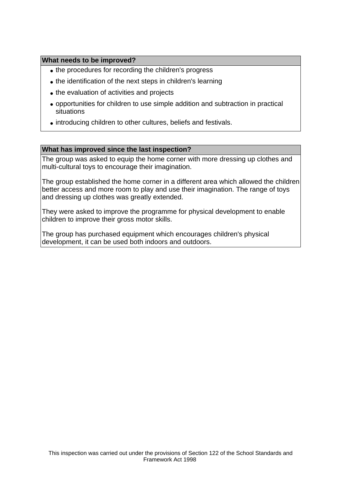## **What needs to be improved?**

- the procedures for recording the children's progress
- the identification of the next steps in children's learning
- the evaluation of activities and projects
- opportunities for children to use simple addition and subtraction in practical situations
- introducing children to other cultures, beliefs and festivals.

#### **What has improved since the last inspection?**

The group was asked to equip the home corner with more dressing up clothes and multi-cultural toys to encourage their imagination.

The group established the home corner in a different area which allowed the children better access and more room to play and use their imagination. The range of toys and dressing up clothes was greatly extended.

They were asked to improve the programme for physical development to enable children to improve their gross motor skills.

The group has purchased equipment which encourages children's physical development, it can be used both indoors and outdoors.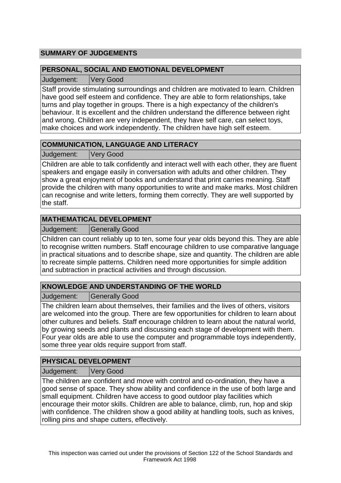# **SUMMARY OF JUDGEMENTS**

## **PERSONAL, SOCIAL AND EMOTIONAL DEVELOPMENT**

Judgement: Very Good

Staff provide stimulating surroundings and children are motivated to learn. Children have good self esteem and confidence. They are able to form relationships, take turns and play together in groups. There is a high expectancy of the children's behaviour. It is excellent and the children understand the difference between right and wrong. Children are very independent, they have self care, can select toys, make choices and work independently. The children have high self esteem.

# **COMMUNICATION, LANGUAGE AND LITERACY**

Judgement: Very Good

Children are able to talk confidently and interact well with each other, they are fluent speakers and engage easily in conversation with adults and other children. They show a great enjoyment of books and understand that print carries meaning. Staff provide the children with many opportunities to write and make marks. Most children can recognise and write letters, forming them correctly. They are well supported by the staff.

# **MATHEMATICAL DEVELOPMENT**

Judgement: Generally Good

Children can count reliably up to ten, some four year olds beyond this. They are able to recognise written numbers. Staff encourage children to use comparative language in practical situations and to describe shape, size and quantity. The children are able to recreate simple patterns. Children need more opportunities for simple addition and subtraction in practical activities and through discussion.

# **KNOWLEDGE AND UNDERSTANDING OF THE WORLD**

Judgement: Generally Good

The children learn about themselves, their families and the lives of others, visitors are welcomed into the group. There are few opportunities for children to learn about other cultures and beliefs. Staff encourage children to learn about the natural world, by growing seeds and plants and discussing each stage of development with them. Four year olds are able to use the computer and programmable toys independently, some three year olds require support from staff.

# **PHYSICAL DEVELOPMENT**

Judgement: Very Good

The children are confident and move with control and co-ordination, they have a good sense of space. They show ability and confidence in the use of both large and small equipment. Children have access to good outdoor play facilities which encourage their motor skills. Children are able to balance, climb, run, hop and skip with confidence. The children show a good ability at handling tools, such as knives, rolling pins and shape cutters, effectively.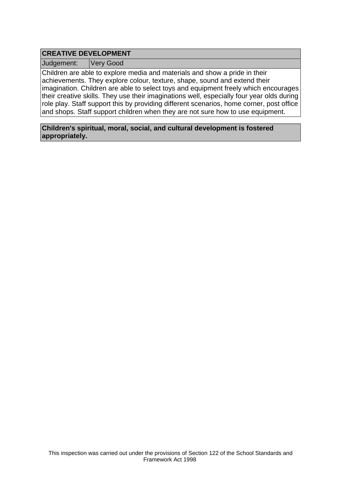## **CREATIVE DEVELOPMENT**

Judgement: Very Good

Children are able to explore media and materials and show a pride in their achievements. They explore colour, texture, shape, sound and extend their imagination. Children are able to select toys and equipment freely which encourages their creative skills. They use their imaginations well, especially four year olds during role play. Staff support this by providing different scenarios, home corner, post office and shops. Staff support children when they are not sure how to use equipment.

**Children's spiritual, moral, social, and cultural development is fostered appropriately.**